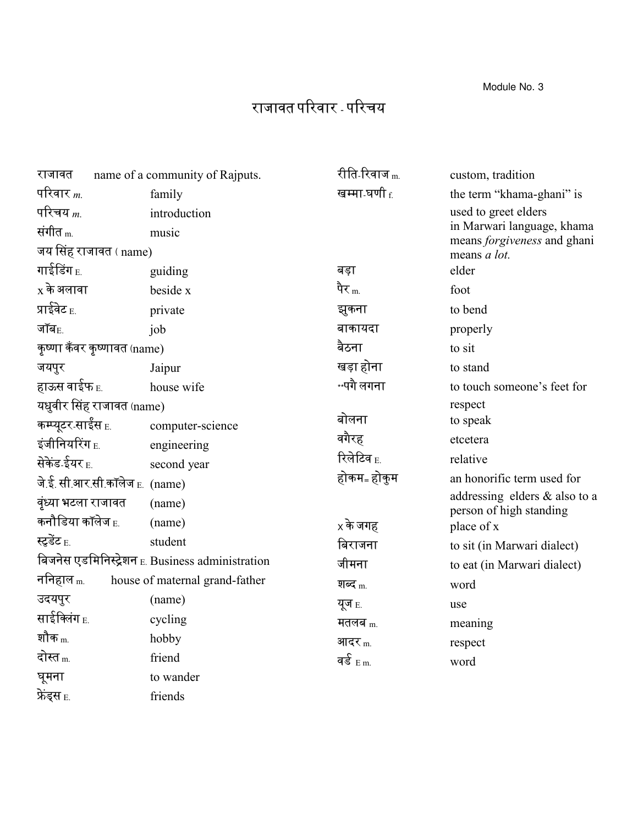Module No. 3

## राजावत पररवार - पररचय

| राजावत                         | name of a community of Rajputs.                  | रीति-रिवाज <sub>m.</sub>   | custom, tradition                                         |
|--------------------------------|--------------------------------------------------|----------------------------|-----------------------------------------------------------|
| परिवार $_m$                    | family                                           | खम्मा घणी $\epsilon$       | the term "khama-ghani" is                                 |
| परिचय $m$                      | introduction                                     |                            | used to greet elders                                      |
| संगीत $_{\rm m}$               | music                                            |                            | in Marwari language, khama<br>means forgiveness and ghani |
| जय सिंह राजावत (name)          |                                                  |                            | means a lot.                                              |
| गाईडिंग $_{\rm E.}$            | guiding                                          | बड़ा                       | elder                                                     |
| $x$ के अलावा                   | beside x                                         | पैर $_{\rm m}$             | foot                                                      |
| प्राईवेट $_{\rm E.}$           | private                                          | झुकना                      | to bend                                                   |
| जॉब $_{\rm E.}$                | job                                              | बाकायदा                    | properly                                                  |
| कृष्णा कँवर कृष्णावत (name)    |                                                  | बैठना                      | to sit                                                    |
| जयपुर                          | Jaipur                                           | खड़ा होना                  | to stand                                                  |
| हाऊस वाईफ <sub>E.</sub>        | house wife                                       | ∗∗पगै लगना                 | to touch someone's feet for                               |
| यधुवीर सिंह राजावत (name)      |                                                  |                            | respect                                                   |
| कम्प्यूटर-साईंस <sub>E.</sub>  | computer-science                                 | बोलना                      | to speak                                                  |
| इंजीनियरिंग $_{\rm E.}$        | engineering                                      | वगैरह                      | etcetera                                                  |
| सेकेंड ईयर <sub>E.</sub>       | second year                                      | रिलेटिव $_{\rm E}$         | relative                                                  |
| जे ई. सी.आर.सी.कॉलेज E. (name) |                                                  | होकम- होकुम                | an honorific term used for                                |
| वृंध्या भटला राजावत            | (name)                                           |                            | addressing elders & also to a<br>person of high standing  |
| कनौडिया कॉलेज $_{\rm E.}$      | (name)                                           | $\times$ के जगह            | place of x                                                |
| स्टूडेंट $_{\rm E.}$           | student                                          | बिराजना                    | to sit (in Marwari dialect)                               |
|                                | बिजनेस एडमिनिस्ट्रेशन E. Business administration | जीमना                      | to eat (in Marwari dialect)                               |
| ननिहाल <sub>m.</sub>           | house of maternal grand-father                   | शब्द $_m$                  | word                                                      |
| उदयपुर                         | (name)                                           | यूज $_{\rm E.}$            | use                                                       |
| साईक्लिंग $_{\rm E.}$          | cycling                                          | मतलब $m$                   | meaning                                                   |
| शौक <sub>m.</sub>              | hobby                                            | आदर $_{\rm m}$             | respect                                                   |
| दोस्त <sub>m.</sub>            | friend                                           | वर्ड $_{\rm E}$ $_{\rm m}$ | word                                                      |
| घूमना                          | to wander                                        |                            |                                                           |
| फ़ेंड्स E.                     | friends                                          |                            |                                                           |